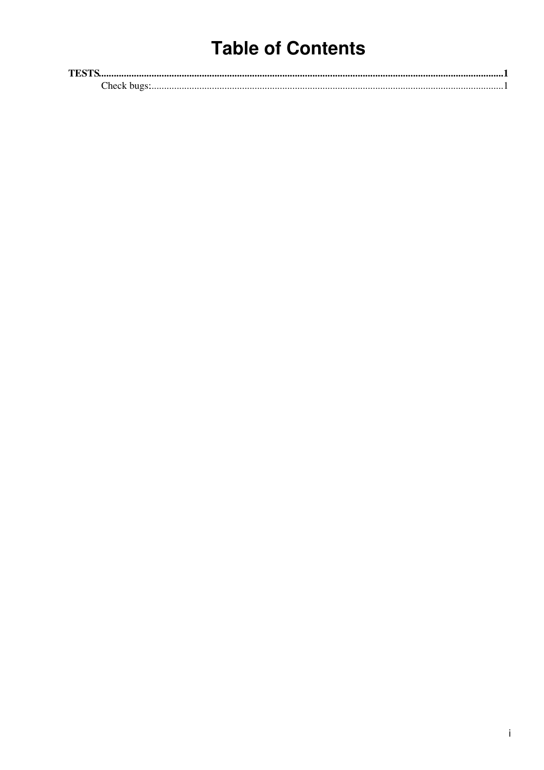# **Table of Contents**

| тпете       |  |
|-------------|--|
| :heck<br>ור |  |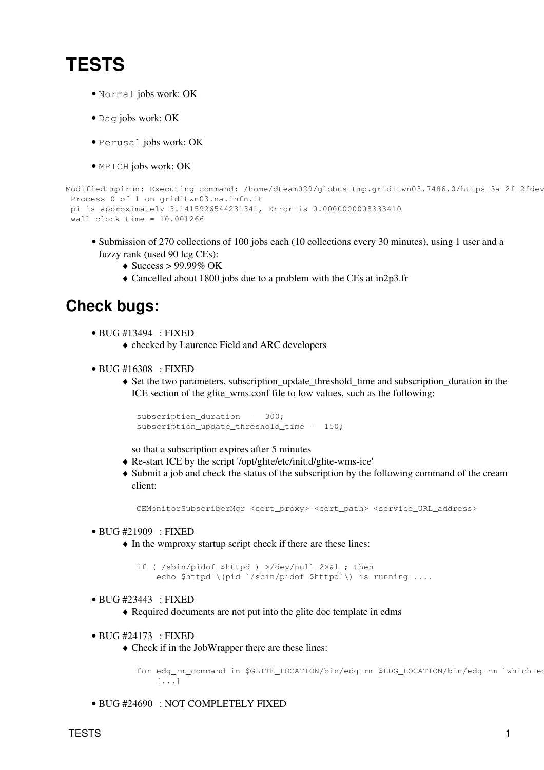# <span id="page-1-0"></span>**TESTS**

- Normal jobs work: OK
- Dag jobs work: OK
- Perusal jobs work: OK
- MPICH jobs work: OK

```
Modified mpirun: Executing command: /home/dteam029/globus-tmp.griditwn03.7486.0/https_3a_2f_2fdev
 Process 0 of 1 on griditwn03.na.infn.it
 pi is approximately 3.1415926544231341, Error is 0.0000000008333410
 wall clock time = 10.001266
```
- Submission of 270 collections of 100 jobs each (10 collections every 30 minutes), using 1 user and a fuzzy rank (used 90 lcg CEs):
	- $\triangleleft$  Success > 99.99% OK
	- ♦ Cancelled about 1800 jobs due to a problem with the CEs at in2p3.fr

# <span id="page-1-1"></span>**Check bugs:**

- BUG [#13494](https://savannah.cern.ch/bugs/?13494) : FIXED
	- ♦ checked by Laurence Field and ARC developers
- BUG [#16308](https://savannah.cern.ch/bugs/?16308) : FIXED
	- Set the two parameters, subscription\_update\_threshold\_time and subscription\_duration in the ♦ ICE section of the glite\_wms.conf file to low values, such as the following:

```
 subscription_duration = 300;
 subscription_update_threshold_time = 150;
```
so that a subscription expires after 5 minutes

- ♦ Re-start ICE by the script '/opt/glite/etc/init.d/glite-wms-ice'
- Submit a job and check the status of the subscription by the following command of the cream ♦ client:

CEMonitorSubscriberMgr <cert\_proxy> <cert\_path> <service\_URL\_address>

# BUG [#21909](https://savannah.cern.ch/bugs/?21909) : FIXED •

 $\bullet$  In the wmproxy startup script check if there are these lines:

 if ( /sbin/pidof \$httpd ) >/dev/null 2>&1 ; then echo \$httpd \(pid `/sbin/pidof \$httpd`\) is running ....

# BUG [#23443](https://savannah.cern.ch/bugs/?23443) : FIXED •

- ♦ Required documents are not put into the glite doc template in edms
- BUG [#24173](https://savannah.cern.ch/bugs/?24173) : FIXED
	- Check if in the [JobWrapper](https://wiki-igi.cnaf.infn.it/twiki/bin/edit/EgeeJra1It/JobWrapper?topicparent=EgeeJra1It.WmsTests3dot1dot100;nowysiwyg=0) there are these lines: ♦

for edg\_rm\_command in \$GLITE\_LOCATION/bin/edg-rm \$EDG\_LOCATION/bin/edg-rm `which ed [...]

• BUG [#24690](https://savannah.cern.ch/bugs/?24690) : NOT COMPLETELY FIXED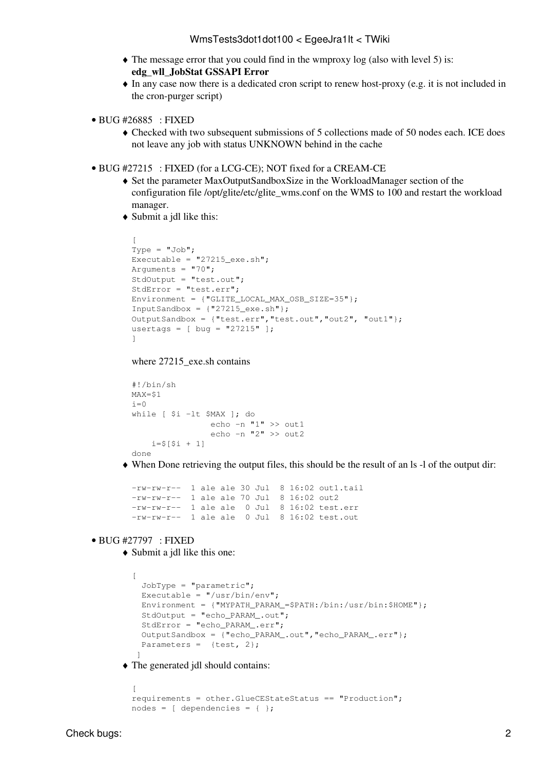- The message error that you could find in the wmproxy log (also with level 5) is: ♦ **edg\_wll\_JobStat GSSAPI Error**
- In any case now there is a dedicated cron script to renew host-proxy (e.g. it is not included in ♦ the cron-purger script)
- BUG [#26885](https://savannah.cern.ch/bugs/?26885) : FIXED
	- Checked with two subsequent submissions of 5 collections made of 50 nodes each. ICE does ♦ not leave any job with status UNKNOWN behind in the cache
- BUG [#27215](https://savannah.cern.ch/bugs/?27215) : FIXED (for a LCG-CE); NOT fixed for a CREAM-CE
	- Set the parameter [MaxOutputSandboxSize](https://wiki-igi.cnaf.infn.it/twiki/bin/edit/EgeeJra1It/MaxOutputSandboxSize?topicparent=EgeeJra1It.WmsTests3dot1dot100;nowysiwyg=0) in the [WorkloadManager](https://wiki-igi.cnaf.infn.it/twiki/bin/edit/EgeeJra1It/WorkloadManager?topicparent=EgeeJra1It.WmsTests3dot1dot100;nowysiwyg=0) section of the ♦ configuration file /opt/glite/etc/glite\_wms.conf on the WMS to 100 and restart the workload manager.
	- Submit a jdl like this: ♦

```
\GammaType = "Job";Executable = "27215 exe.sh";
Arguments = "70";
StdOutput = "test.out";
StdError = "test.err";
Environment = {"GLITE_LOCAL_MAX_OSB_SIZE=35"};
InputSandbox = {\lceil "27215 \text{ } e \text{xe.sh} " } \rceil;
OutputSandbox = {"test.err","test.out","out2", "out1"};
usertags = \lceil bug = "27215" \rceil;
]
```

```
where 27215 exe.sh contains
```

```
#!/bin/sh
MAX = $1i=0while [ $i -lt $MAX ]; do
                 echo -n "1" >> out1
                 echo -n "2" >> out2
    i= 5 [ 5i + 1]done
```
When Done retrieving the output files, this should be the result of an ls -l of the output dir: ♦

```
-rw-rw-r-- 1 ale ale 30 Jul 8 16:02 out1.tail
-rw-rw-r-- 1 ale ale 70 Jul 8 16:02 out2
-rw-rw-r-- 1 ale ale 0 Jul 8 16:02 test.err
-rw-rw-r-- 1 ale ale 0 Jul 8 16:02 test.out
```
## BUG [#27797](https://savannah.cern.ch/bugs/?27797) : FIXED •

 $\sqrt{2}$ 

Submit a jdl like this one: ♦

```
\lceil JobType = "parametric";
 Executable = ''/usr/bin/env";
 Environment = {^mMYPATH_PARAM_=$PATH:/bin:/usr/bin:$HOME"};
  StdOutput = "echo_PARAM_.out";
  StdError = "echo_PARAM_.err";
  OutputSandbox = {"echo_PARAM_.out","echo_PARAM_.err"};
 Parameters = {test, 2}; ]
```
The generated jdl should contains: ♦

```
requirements = other.GlueCEStateStatus == "Production";
nodes = [dependentcies = { };
```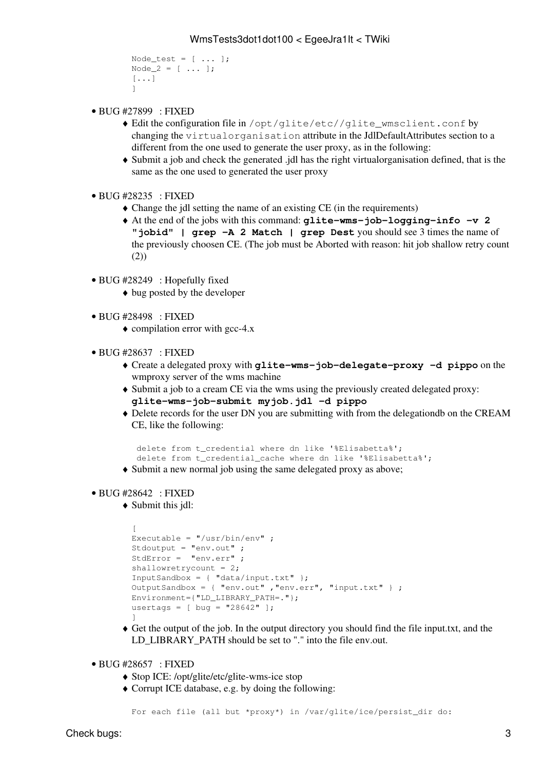```
Node_test = [\ldots];
Node2 = [\dots];
[...]
]
```
- BUG [#27899](https://savannah.cern.ch/bugs/?27899) : FIXED
	- Edit the configuration file in /opt/glite/etc//glite\_wmsclient.conf by ♦ changing the virtualorganisation attribute in the [JdlDefaultAttributes](https://wiki-igi.cnaf.infn.it/twiki/bin/edit/EgeeJra1It/JdlDefaultAttributes?topicparent=EgeeJra1It.WmsTests3dot1dot100;nowysiwyg=0) section to a different from the one used to generate the user proxy, as in the following:
	- Submit a job and check the generated .jdl has the right virtualorganisation defined, that is the ♦ same as the one used to generated the user proxy
- BUG [#28235](https://savannah.cern.ch/bugs/?28235) : FIXED
	- $\triangle$  Change the jdl setting the name of an existing CE (in the requirements)
	- At the end of the jobs with this command: **glite-wms-job-logging-info -v 2** ♦ **"jobid" | grep -A 2 Match | grep Dest** you should see 3 times the name of the previously choosen CE. (The job must be Aborted with reason: hit job shallow retry count (2))
- BUG [#28249](https://savannah.cern.ch/bugs/?28249) : Hopefully fixed
	- ♦ bug posted by the developer
- BUG [#28498](https://savannah.cern.ch/bugs/?28498) : FIXED
	- $\bullet$  compilation error with gcc-4.x
- BUG [#28637](https://savannah.cern.ch/bugs/?28637) : FIXED
	- Create a delegated proxy with **glite-wms-job-delegate-proxy -d pippo** on the ♦ wmproxy server of the wms machine
	- Submit a job to a cream CE via the wms using the previously created delegated proxy: ♦ **glite-wms-job-submit myjob.jdl -d pippo**
	- Delete records for the user DN you are submitting with from the delegationdb on the CREAM ♦ CE, like the following:

```
 delete from t_credential where dn like '%Elisabetta%';
 delete from t_credential_cache where dn like '%Elisabetta%';
```
- ♦ Submit a new normal job using the same delegated proxy as above;
- BUG [#28642](https://savannah.cern.ch/bugs/?28642) : FIXED
	- Submit this jdl: ♦

```
[
Executable = ''/usr/bin/env" ;
Stdoutput = "env.out" ;
StdError = "env.err" ;
shallowretrycount = 2;
InputSandbox = \{ "data/input.txt" \};
OutputSandbox = { "env.out", "env.err", "input.txt" } ;
Environment={"LD_LIBRARY_PATH=."};
usertags = \lceil bug = "28642" \rceil;
]
```
- Get the output of the job. In the output directory you should find the file input.txt, and the ♦ LD\_LIBRARY\_PATH should be set to "." into the file env.out.
- BUG [#28657](https://savannah.cern.ch/bugs/?28657) : FIXED
	- ♦ Stop ICE: /opt/glite/etc/glite-wms-ice stop
	- Corrupt ICE database, e.g. by doing the following: ♦

```
For each file (all but *proxy*) in /var/glite/ice/persist_dir do:
```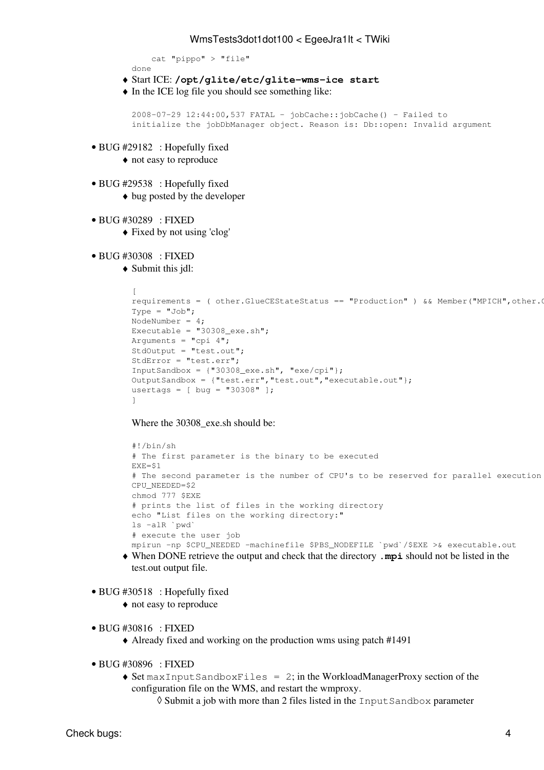```
 cat "pippo" > "file"
```
- done
- ♦ Start ICE: **/opt/glite/etc/glite-wms-ice start**
- $\bullet$  In the ICE log file you should see something like:

```
2008-07-29 12:44:00,537 FATAL - jobCache::jobCache() - Failed to
initialize the jobDbManager object. Reason is: Db::open: Invalid argument
```
- BUG [#29182](https://savannah.cern.ch/bugs/?29182) : Hopefully fixed
	- ♦ not easy to reproduce
- BUG [#29538](https://savannah.cern.ch/bugs/?29538) : Hopefully fixed
	- $\triangle$  bug posted by the developer
- BUG [#30289](https://savannah.cern.ch/bugs/?30289) : FIXED
	- ♦ Fixed by not using 'clog'
- BUG [#30308](https://savannah.cern.ch/bugs/?30308) : FIXED
	- Submit this jdl: ♦

```
\lceilrequirements = ( other. GlueCEStateStatus == "Production" ) && Member("MPICH", other.
Tvpe = "Job";NodeNumber = 4;
Executable = "30308\_exe.sh";Arguments = "cpi 4";
StdOutput = "test.out";
StdError = "test.err";
InputSandbox = \{ "30308_exe.sh", "exe/cpi"};
OutputSandbox = {"test.err","test.out","executable.out"};
usertags = [ bug = "30308" ];
]
```
Where the 30308 exe.sh should be:

```
#!/bin/sh
# The first parameter is the binary to be executed
EXE=$1
# The second parameter is the number of CPU's to be reserved for parallel execution
CPU_NEEDED=$2
chmod 777 $EXE
# prints the list of files in the working directory
echo "List files on the working directory:"
ls -alR `pwd`
# execute the user job
mpirun -np $CPU_NEEDED -machinefile $PBS_NODEFILE `pwd`/$EXE >& executable.out
```
- When DONE retrieve the output and check that the directory **.mpi** should not be listed in the ♦ test.out output file.
- BUG [#30518](https://savannah.cern.ch/bugs/?30518) : Hopefully fixed
	- ♦ not easy to reproduce
- BUG [#30816](https://savannah.cern.ch/bugs/?30816) : FIXED
	- ♦ Already fixed and working on the production wms using patch [#1491](https://savannah.cern.ch/patch/?1491)
- BUG [#30896](https://savannah.cern.ch/bugs/?30896) : FIXED
	- ◆ Set maxInputSandboxFiles = 2; in the [WorkloadManagerProxy](https://wiki-igi.cnaf.infn.it/twiki/bin/edit/EgeeJra1It/WorkloadManagerProxy?topicparent=EgeeJra1It.WmsTests3dot1dot100;nowysiwyg=0) section of the configuration file on the WMS, and restart the wmproxy.
		- ◊ Submit a job with more than 2 files listed in the InputSandbox parameter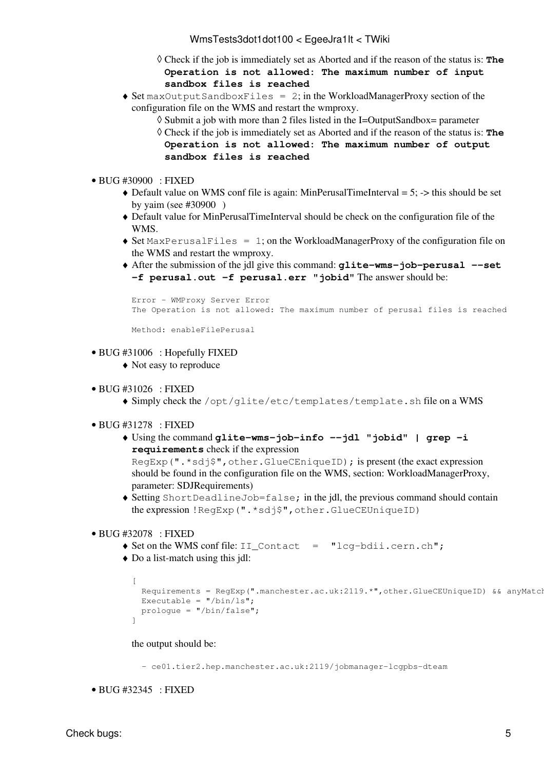Check if the job is immediately set as Aborted and if the reason of the status is: **The** ◊ **Operation is not allowed: The maximum number of input sandbox files is reached**

- ◆ Set maxOutputSandboxFiles = 2; in the [WorkloadManagerProxy](https://wiki-igi.cnaf.infn.it/twiki/bin/edit/EgeeJra1It/WorkloadManagerProxy?topicparent=EgeeJra1It.WmsTests3dot1dot100;nowysiwyg=0) section of the configuration file on the WMS and restart the wmproxy.
	- $\Diamond$  Submit a job with more than 2 files listed in the I=OutputSandbox= parameter
		- Check if the job is immediately set as Aborted and if the reason of the status is: **The** ◊ **Operation is not allowed: The maximum number of output sandbox files is reached**
- BUG [#30900](https://savannah.cern.ch/bugs/?30900) : FIXED
	- $\triangleleft$  Default value on WMS conf file is again: [MinPerusalTimeInterval](https://wiki-igi.cnaf.infn.it/twiki/bin/edit/EgeeJra1It/MinPerusalTimeInterval?topicparent=EgeeJra1It.WmsTests3dot1dot100;nowysiwyg=0) = 5; -> this should be set by yaim (see [#30900](https://savannah.cern.ch/bugs/?30900) )
	- Default value for [MinPerusalTimeInterval](https://wiki-igi.cnaf.infn.it/twiki/bin/edit/EgeeJra1It/MinPerusalTimeInterval?topicparent=EgeeJra1It.WmsTests3dot1dot100;nowysiwyg=0) should be check on the configuration file of the ♦ WMS.
	- Set MaxPerusalFiles = 1; on the [WorkloadManagerProxy](https://wiki-igi.cnaf.infn.it/twiki/bin/edit/EgeeJra1It/WorkloadManagerProxy?topicparent=EgeeJra1It.WmsTests3dot1dot100;nowysiwyg=0) of the configuration file on ♦ the WMS and restart the wmproxy.
	- After the submission of the jdl give this command: **glite-wms-job-perusal --set** ♦ **-f perusal.out -f perusal.err "jobid"** The answer should be:

```
Error - WMProxy Server Error
The Operation is not allowed: The maximum number of perusal files is reached
```
Method: enableFilePerusal

- BUG [#31006](https://savannah.cern.ch/bugs/?31006) : Hopefully FIXED
	- ♦ Not easy to reproduce
- BUG [#31026](https://savannah.cern.ch/bugs/?31026) : FIXED
	- ♦ Simply check the /opt/glite/etc/templates/template.sh file on a WMS
- BUG [#31278](https://savannah.cern.ch/bugs/?31278) : FIXED
	- Using the command **glite-wms-job-info --jdl "jobid" | grep -i** ♦ **requirements** check if the expression

RegExp(".\*sdj\$",other.GlueCEniqueID); is present (the exact expression should be found in the configuration file on the WMS, section: [WorkloadManagerProxy,](https://wiki-igi.cnaf.infn.it/twiki/bin/edit/EgeeJra1It/WorkloadManagerProxy?topicparent=EgeeJra1It.WmsTests3dot1dot100;nowysiwyg=0) parameter: SDJRequirements)

- Setting ShortDeadlineJob=false; in the jdl, the previous command should contain ♦ the expression !RegExp(".\*sdj\$",other.GlueCEUniqueID)
- BUG [#32078](https://savannah.cern.ch/bugs/?32078) : FIXED
	- $\triangle$  Set on the WMS conf file: II Contact = "lcg-bdii.cern.ch";
	- Do a list-match using this jdl: ♦

```
\sqrt{2}Requirements = RegExp(".manchester.ac.uk:2119.*",other.GlueCEUniqueID) && anyMatch
  Executable = ''/\text{bin}/\text{ls}";
   prologue = "/bin/false";
]
```
the output should be:

- ce01.tier2.hep.manchester.ac.uk:2119/jobmanager-lcgpbs-dteam

```
• BUG #32345 : FIXED
```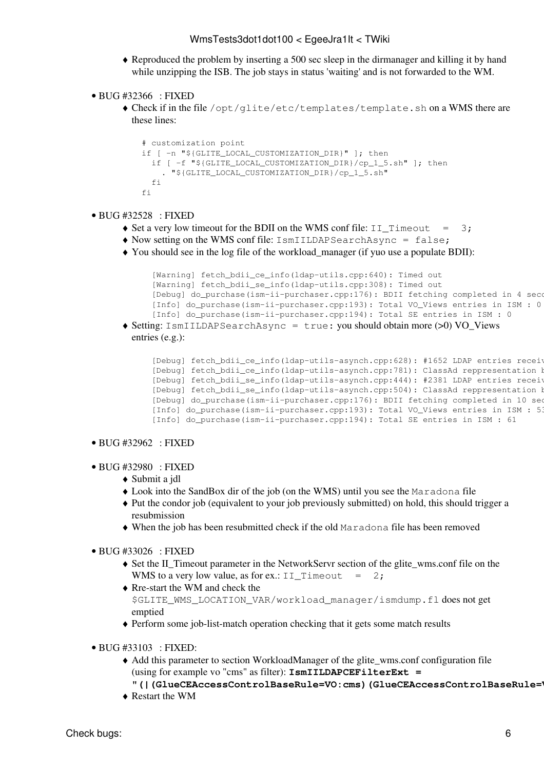- Reproduced the problem by inserting a 500 sec sleep in the dirmanager and killing it by hand ♦ while unzipping the ISB. The job stays in status 'waiting' and is not forwarded to the WM.
- BUG [#32366](https://savannah.cern.ch/bugs/?32366) : FIXED
	- Check if in the file /opt/glite/etc/templates/template.sh on a WMS there are ♦ these lines:

```
 # customization point
 if [ -n "${GLITE_LOCAL_CUSTOMIZATION_DIR}" ]; then
  if [ -f "${GLITE_LOCAL_CUSTOMIZATION_DIR}/cp_1_5.sh" ]; then
     . "${GLITE_LOCAL_CUSTOMIZATION_DIR}/cp_1_5.sh"
   fi
 fi
```
# BUG [#32528](https://savannah.cern.ch/bugs/?32528) : FIXED •

- $\triangle$  Set a very low timeout for the BDII on the WMS conf file: II Timeout = 3;
- ♦ Now setting on the WMS conf file: IsmIILDAPSearchAsync = false;
- You should see in the log file of the workload\_manager (if yuo use a populate BDII): ♦

```
[Warning] fetch_bdii_ce_info(ldap-utils.cpp:640): Timed out
 [Warning] fetch_bdii_se_info(ldap-utils.cpp:308): Timed out
[Debug] do_purchase(ism-ii-purchaser.cpp:176): BDII fetching completed in 4 seconds
[Info] do_purchase(ism-ii-purchaser.cpp:193): Total VO_Views entries in ISM : 0
[Info] do_purchase(ism-ii-purchaser.cpp:194): Total SE entries in ISM : 0
```
Setting: IsmIILDAPSearchAsync = true: you should obtain more (>0) VO\_Views ♦ entries (e.g.):

```
[Debug] fetch_bdii_ce_info(ldap-utils-asynch.cpp:628): #1652 LDAP entries received
[Debug] fetch_bdii_ce_info(ldap-utils-asynch.cpp:781): ClassAd reppresentation b
[Debug] fetch_bdii_se_info(ldap-utils-asynch.cpp:444): #2381 LDAP entries received
[Debug] fetch_bdii_se_info(ldap-utils-asynch.cpp:504): ClassAd reppresentation b
[Debug] do_purchase(ism-ii-purchaser.cpp:176): BDII fetching completed in 10 sec
[Info] do_purchase(ism-ii-purchaser.cpp:193): Total VO_Views entries in ISM : 53
 [Info] do_purchase(ism-ii-purchaser.cpp:194): Total SE entries in ISM : 61
```
## • BUG [#32962](https://savannah.cern.ch/bugs/?32962) : FIXED

- BUG [#32980](https://savannah.cern.ch/bugs/?32980) : FIXED
	- ♦ Submit a jdl
	- ♦ Look into the [SandBox](https://wiki-igi.cnaf.infn.it/twiki/bin/edit/EgeeJra1It/SandBox?topicparent=EgeeJra1It.WmsTests3dot1dot100;nowysiwyg=0) dir of the job (on the WMS) until you see the Maradona file
	- Put the condor job (equivalent to your job previously submitted) on hold, this should trigger a ♦ resubmission
	- ♦ When the job has been resubmitted check if the old Maradona file has been removed
- BUG [#33026](https://savannah.cern.ch/bugs/?33026) : FIXED
	- Set the II\_Timeout parameter in the [NetworkServr](https://wiki-igi.cnaf.infn.it/twiki/bin/edit/EgeeJra1It/NetworkServr?topicparent=EgeeJra1It.WmsTests3dot1dot100;nowysiwyg=0) section of the glite\_wms.conf file on the ♦ WMS to a very low value, as for ex.: II\_Timeout = 2;
	- Rre-start the WM and check the ♦ \$GLITE\_WMS\_LOCATION\_VAR/workload\_manager/ismdump.fl does not get emptied
	- ♦ Perform some job-list-match operation checking that it gets some match results
- BUG [#33103](https://savannah.cern.ch/bugs/?33103) : FIXED:
	- Add this parameter to section [WorkloadManager](https://wiki-igi.cnaf.infn.it/twiki/bin/edit/EgeeJra1It/WorkloadManager?topicparent=EgeeJra1It.WmsTests3dot1dot100;nowysiwyg=0) of the glite\_wms.conf configuration file ♦ (using for example vo "cms" as filter): **IsmIILDAPCEFilterExt =**
	- **"(|[\(GlueCEAccessControlBaseRule=](https://wiki-igi.cnaf.infn.it/twiki/bin/edit/EgeeJra1It/GlueCEAccessControlBaseRule?topicparent=EgeeJra1It.WmsTests3dot1dot100;nowysiwyg=0)VO:cms)[\(GlueCEAccessControlBaseRule](https://wiki-igi.cnaf.infn.it/twiki/bin/edit/EgeeJra1It/GlueCEAccessControlBaseRule?topicparent=EgeeJra1It.WmsTests3dot1dot100;nowysiwyg=0)=VOMS:/cms/\*))"**
	- ♦ Restart the WM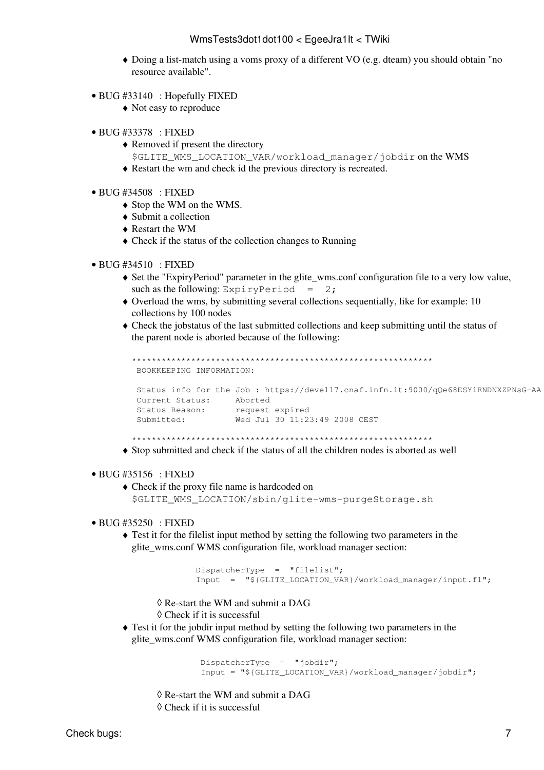- Doing a list-match using a voms proxy of a different VO (e.g. dteam) you should obtain "no resource available".
- $\bullet$  BUG #33140 : Hopefully FIXED
	- $\triangle$  Not easy to reproduce
- BUG #33378 : FIXED
	- $\triangle$  Removed if present the directory
	- \$GLITE WMS LOCATION\_VAR/workload\_manager/jobdir on the WMS
	- $\triangle$  Restart the wm and check id the previous directory is recreated.
- BUG #34508 : FIXED
	- Stop the WM on the WMS.
	- $\bullet$  Submit a collection
	- $\triangle$  Restart the WM
	- $\bullet$  Check if the status of the collection changes to Running

#### $\bullet$  BUG #34510 : FIXED

- Set the "ExpiryPeriod" parameter in the glite\_wms.conf configuration file to a very low value, such as the following: ExpiryPeriod =  $2$ ;
- $\bullet$  Overload the wms, by submitting several collections sequentially, like for example: 10 collections by 100 nodes
- $\bullet$  Check the jobstatus of the last submitted collections and keep submitting until the status of the parent node is aborted because of the following:

```
BOOKKEEPING INFORMATION:
Status info for the Job: https://devel17.cnaf.infn.it:9000/qQe68ESYiRNDNXZPNsG-AA
Current Status: Aborted<br>
Status Reason: request expired<br>
Submitted: Wed Jul 30 11:23:49 2008 CEST
```
• Stop submitted and check if the status of all the children nodes is aborted as well

#### $\bullet$  BUG #35156 : FIXED

 $\bullet$  Check if the proxy file name is hardcoded on \$GLITE\_WMS\_LOCATION/sbin/glite-wms-purgeStorage.sh

## $\bullet$  BUG #35250 : FIXED

 $\triangle$  Test it for the filelist input method by setting the following two parameters in the glite wms.conf WMS configuration file, workload manager section:

```
DispatcherType = "filelist";
Input = "${GLITE_LOCATION_VAR}/workload_manager/input.fl";
```
 $\Diamond$  Re-start the WM and submit a DAG

 $\Diamond$  Check if it is successful

 $\triangle$  Test it for the jobdir input method by setting the following two parameters in the glite wms.conf WMS configuration file, workload manager section:

> DispatcherType = "jobdir"; Input = "\${GLITE\_LOCATION\_VAR}/workload\_manager/jobdir";

- $\Diamond$  Re-start the WM and submit a DAG
- $\Diamond$  Check if it is successful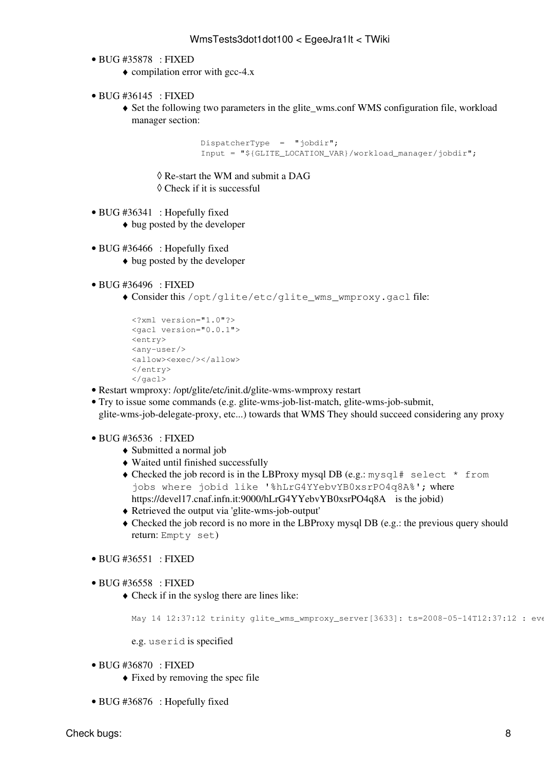- BUG [#35878](https://savannah.cern.ch/bugs/?35878) : FIXED
	- $\bullet$  compilation error with gcc-4.x
- BUG [#36145](https://savannah.cern.ch/bugs/?36145) : FIXED
	- Set the following two parameters in the glite\_wms.conf WMS configuration file, workload ♦ manager section:

```
 DispatcherType = "jobdir";
 Input = "${GLITE_LOCATION_VAR}/workload_manager/jobdir";
```
- ◊ Re-start the WM and submit a DAG
- ◊ Check if it is successful
- BUG [#36341](https://savannah.cern.ch/bugs/?36341) : Hopefully fixed
	- ♦ bug posted by the developer
- BUG [#36466](https://savannah.cern.ch/bugs/?36466) : Hopefully fixed
	- ♦ bug posted by the developer
- BUG [#36496](https://savannah.cern.ch/bugs/?36496) : FIXED
	- Consider this /opt/glite/etc/glite\_wms\_wmproxy.gacl file: ♦

```
<?xml version="1.0"?>
<gacl version="0.0.1">
<entry>
<any-user/>
<allow><exec/></allow>
</entry>
\langle qacl>
```
- Restart wmproxy: /opt/glite/etc/init.d/glite-wms-wmproxy restart
- Try to issue some commands (e.g. glite-wms-job-list-match, glite-wms-job-submit, glite-wms-job-delegate-proxy, etc...) towards that WMS They should succeed considering any proxy
- BUG [#36536](https://savannah.cern.ch/bugs/?36536) : FIXED
	- ♦ Submitted a normal job
	- ♦ Waited until finished successfully
	- Checked the job record is in the LBProxy mysql DB (e.g.: mysql# select \* from jobs where jobid like '%hLrG4YYebvYB0xsrPO4q8A%'; where <https://devel17.cnaf.infn.it:9000/hLrG4YYebvYB0xsrPO4q8A>is the jobid)
	- ♦ Retrieved the output via 'glite-wms-job-output'
	- Checked the job record is no more in the LBProxy mysql DB (e.g.: the previous query should ♦ return: Empty set)
- BUG [#36551](https://savannah.cern.ch/bugs/?36551) : FIXED
- BUG [#36558](https://savannah.cern.ch/bugs/?36558) : FIXED
	- Check if in the syslog there are lines like: ♦

```
May 14 12:37:12 trinity glite_wms_wmproxy_server[3633]: ts=2008-05-14T12:37:12 : eve
```
e.g. userid is specified

- BUG [#36870](https://savannah.cern.ch/bugs/?36870) : FIXED
	- $\triangle$  Fixed by removing the spec file
- BUG [#36876](https://savannah.cern.ch/bugs/?36876) : Hopefully fixed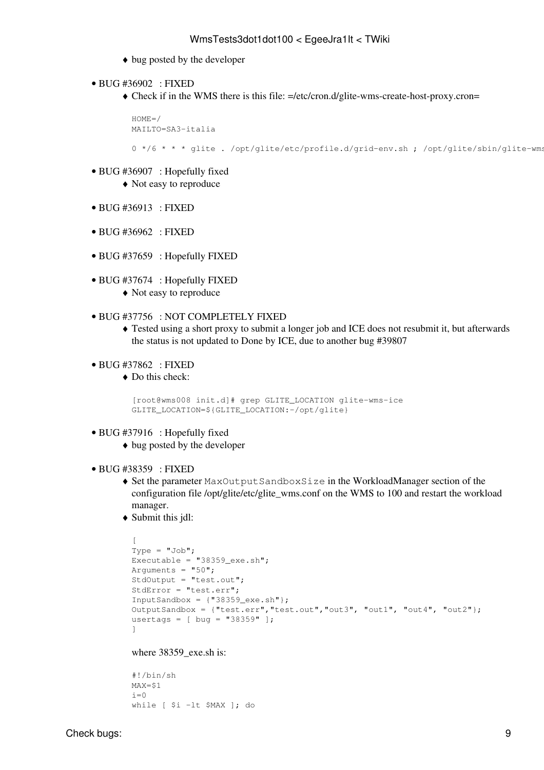- ♦ bug posted by the developer
- BUG [#36902](https://savannah.cern.ch/bugs/?36902) : FIXED
	- Check if in the WMS there is this file: =/etc/cron.d/glite-wms-create-host-proxy.cron= ♦

```
HOME=MAILTO=SA3-italia
0 */6 * * * glite . /opt/glite/etc/profile.d/grid-env.sh ; /opt/glite/sbin/glite-wms.
```
- BUG [#36907](https://savannah.cern.ch/bugs/?36907) : Hopefully fixed
	- ♦ Not easy to reproduce
- BUG [#36913](https://savannah.cern.ch/bugs/?36913) : FIXED
- BUG [#36962](https://savannah.cern.ch/bugs/?36962) : FIXED
- BUG [#37659](https://savannah.cern.ch/bugs/?37659) : Hopefully FIXED
- BUG [#37674](https://savannah.cern.ch/bugs/?37674) : Hopefully FIXED
	- ♦ Not easy to reproduce
- BUG [#37756](https://savannah.cern.ch/bugs/?37756) : NOT COMPLETELY FIXED
	- Tested using a short proxy to submit a longer job and ICE does not resubmit it, but afterwards ♦ the status is not updated to Done by ICE, due to another bug [#39807](https://savannah.cern.ch/bugs/?39807)
- BUG [#37862](https://savannah.cern.ch/bugs/?37862) : FIXED
	- Do this check: ♦

```
[root@wms008 init.d]# grep GLITE_LOCATION glite-wms-ice
GLITE_LOCATION=${GLITE_LOCATION:-/opt/glite}
```
- BUG [#37916](https://savannah.cern.ch/bugs/?37916) : Hopefully fixed
	- ♦ bug posted by the developer
- BUG [#38359](https://savannah.cern.ch/bugs/?38359) : FIXED
	- Set the parameter MaxOutputSandboxSize in the [WorkloadManager](https://wiki-igi.cnaf.infn.it/twiki/bin/edit/EgeeJra1It/WorkloadManager?topicparent=EgeeJra1It.WmsTests3dot1dot100;nowysiwyg=0) section of the ♦ configuration file /opt/glite/etc/glite\_wms.conf on the WMS to 100 and restart the workload manager.
	- Submit this jdl: ♦

```
\GammaType = "Job";Executable = "38359_exe.sh";
Arguments = "50";
StdOutput = "test.out";
StdError = "test.err";
InputSandbox = {^{\texttt{T38359\_exe.sh}}};
OutputSandbox = {"test.err","test.out","out3", "out1", "out4", "out2"};
usertags = [ bug = "38359" ];
]
```
#### where 38359 exe.sh is:

#!/bin/sh MAX=\$1  $i=0$ while [ \$i -lt \$MAX ]; do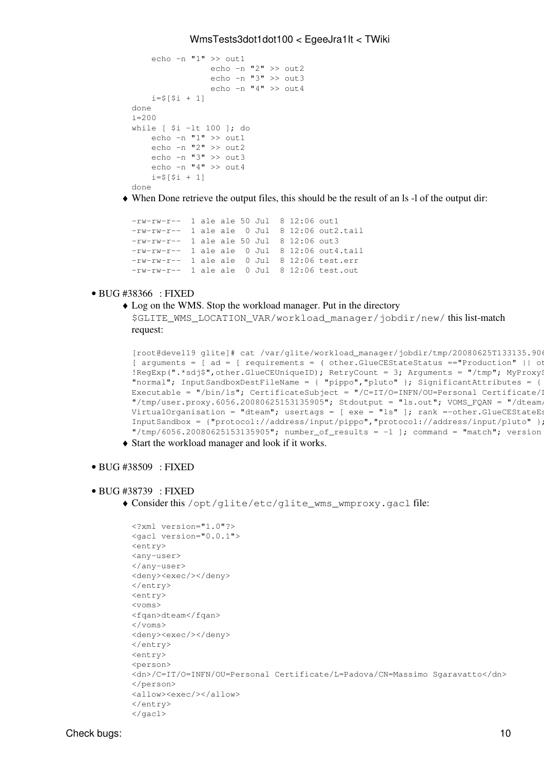```
echo -n "1" >> out1
                   echo -n "2" >> out2
                   echo -n "3" >> out3
                   echo -n "4" >> out4
    i=5[Si + 11]
done
i = 200while [ $i -lt 100 ]; do
     echo -n "1" >> out1
     echo -n "2" >> out2
    echo -n "3" >> \omegaut3
    echo -n 4" >> \text{o}ut4
    i= 5 [ 5i + 1]
done
```
When Done retrieve the output files, this should be the result of an ls -l of the output dir: ♦

```
-rw-rw-r-- 1 ale ale 50 Jul 8 12:06 out1
-rw-rw-r-- 1 ale ale 0 Jul 8 12:06 out2.tail
-rw-rw-r-- 1 ale ale 50 Jul 8 12:06 out3
-rw-rw-r-- 1 ale ale 0 Jul 8 12:06 out4.tail
-rw-rw-r-- 1 ale ale 0 Jul 8 12:06 test.err
-rw-rw-r-- 1 ale ale 0 Jul 8 12:06 test.out
```
#### BUG [#38366](https://savannah.cern.ch/bugs/?38366) : FIXED •

Log on the WMS. Stop the workload manager. Put in the directory ♦ \$GLITE\_WMS\_LOCATION\_VAR/workload\_manager/jobdir/new/this list-match request:

```
[root@devel19 glite]# cat /var/glite/workload_manager/jobdir/tmp/20080625T133135.906
[ arguments = [ ad = [ requirements = ( other.GlueCEStateStatus == "Production" | other.
!RegExp(".*sdj$",other.GlueCEUniqueID); RetryCount = 3; Arguments = "/tmp"; MyProxy?
"normal"; InputSandboxDestFileName = { "pippo", "pluto" }; SignificantAttributes = {
Executable = "/bin/ls"; CertificateSubject = "/C=IT/O=INFN/OU=Personal Certificate/I
"/{\text{tmp}/user.proxy.6056.20080625153135905"}; Stdoutput = "ls.out"; VOMS_FQAN = "/dteam,
\overline{C} VirtualOrganisation = "dteam"; usertags = [ exe = "ls" ]; rank =-other.GlueCEStateEs
InputSandbox = {"protocol://address/input/pippo","protocol://address/input/pluto" };
\lceil"/tmp/6056.20080625153135905"; number_of_results = -1 ]; command = "match"; version
```
♦ Start the workload manager and look if it works.

#### • BUG [#38509](https://savannah.cern.ch/bugs/?38509) : FIXED

#### BUG [#38739](https://savannah.cern.ch/bugs/?38739) : FIXED •

Consider this /opt/glite/etc/glite\_wms\_wmproxy.gacl file: ♦

```
<?xml version="1.0"?>
<gacl version="0.0.1">
<entry>
<any-user>
</any-user>
<deny><exec/>></deny>
</entry>
<entry>
<voms>
<fqan>dteam</fqan>
</voms>
<deny><exec/>></deny>
</entry>
<entry>
<person>
<dn>/C=IT/O=INFN/OU=Personal Certificate/L=Padova/CN=Massimo Sgaravatto</dn>
</person>
<allow><exec/></allow>
</entry>
\langle qacl>
```